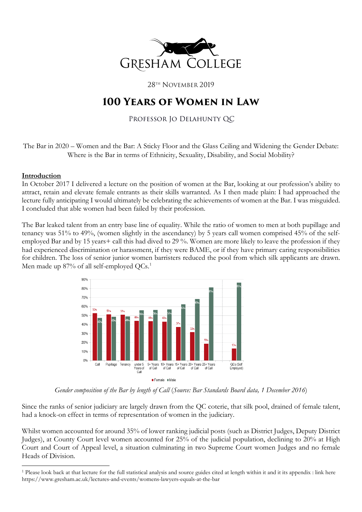

28TH NOVEMBER 2019

# **100 Years of Women in Law**

## Professor Jo Delahunty QC

The Bar in 2020 – Women and the Bar: A Sticky Floor and the Glass Ceiling and Widening the Gender Debate: Where is the Bar in terms of Ethnicity, Sexuality, Disability, and Social Mobility?

#### **Introduction**

In October 2017 I delivered a lecture on the position of women at the Bar, looking at our profession's ability to attract, retain and elevate female entrants as their skills warranted. As I then made plain: I had approached the lecture fully anticipating I would ultimately be celebrating the achievements of women at the Bar. I was misguided. I concluded that able women had been failed by their profession.

The Bar leaked talent from an entry base line of equality. While the ratio of women to men at both pupillage and tenancy was 51% to 49%, (women slightly in the ascendancy) by 5 years call women comprised 45% of the selfemployed Bar and by 15 years+ call this had dived to 29 %. Women are more likely to leave the profession if they had experienced discrimination or harassment, if they were BAME, or if they have primary caring responsibilities for children. The loss of senior junior women barristers reduced the pool from which silk applicants are drawn. Men made up 87% of all self-employed QCs.<sup>[1](#page-0-0)</sup>



*Gender composition of the Bar by length of Call* (*Source: Bar Standards Board data, 1 December 2016*)

Since the ranks of senior judiciary are largely drawn from the QC coterie, that silk pool, drained of female talent, had a knock-on effect in terms of representation of women in the judiciary.

Whilst women accounted for around 35% of lower ranking judicial posts (such as District Judges, Deputy District Judges), at County Court level women accounted for 25% of the judicial population, declining to 20% at High Court and Court of Appeal level, a situation culminating in two Supreme Court women Judges and no female Heads of Division.

<span id="page-0-0"></span><sup>1</sup> Please look back at that lecture for the full statistical analysis and source guides cited at length within it and it its appendix : link here <https://www.gresham.ac.uk/lectures-and-events/womens-lawyers-equals-at-the-bar>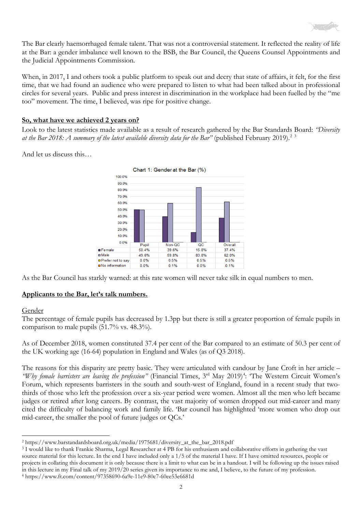

The Bar clearly haemorrhaged female talent. That was not a controversial statement. It reflected the reality of life at the Bar: a gender imbalance well known to the BSB, the Bar Council, the Queens Counsel Appointments and the Judicial Appointments Commission.

When, in 2017, I and others took a public platform to speak out and decry that state of affairs, it felt, for the first time, that we had found an audience who were prepared to listen to what had been talked about in professional circles for several years. Public and press interest in discrimination in the workplace had been fuelled by the "me too" movement. The time, I believed, was ripe for positive change.

#### **So, what have we achieved 2 years on?**

Look to the latest statistics made available as a result of research gathered by the Bar Standards Board: *"Diversity*  at the Bar [2](#page-1-0)018: A summary of the latest available diversity data for the Bar" (published February 2019).<sup>2 [3](#page-1-1)</sup>

And let us discuss this…



As the Bar Council has starkly warned: at this rate women will never take silk in equal numbers to men.

#### **Applicants to the Bar, let's talk numbers.**

#### **Gender**

The percentage of female pupils has decreased by 1.3pp but there is still a greater proportion of female pupils in comparison to male pupils (51.7% vs. 48.3%).

As of December 2018, women constituted 37.4 per cent of the Bar compared to an estimate of 50.3 per cent of the UK working age (16-64) population in England and Wales (as of Q3 2018).

The reasons for this disparity are pretty basic. They were articulated with candour by Jane Croft in her article *–* "Why female barristers are leaving the profession" (Financial Times, 3<sup>rd</sup> May 2019)<sup>[4](#page-1-2)</sup>: "The Western Circuit Women's Forum, which represents barristers in the south and south-west of England, found in a recent study that twothirds of those who left the profession over a six-year period were women. Almost all the men who left became judges or retired after long careers. By contrast, the vast majority of women dropped out mid-career and many cited the difficulty of balancing work and family life. 'Bar council has highlighted 'more women who drop out mid-career, the smaller the pool of future judges or QCs.'

<span id="page-1-0"></span><sup>2</sup> https://www.barstandardsboard.org.uk/media/1975681/diversity\_at\_the\_bar\_2018.pdf

<span id="page-1-2"></span><span id="page-1-1"></span><sup>3</sup> I would like to thank Frankie Sharma, Legal Researcher at 4 PB for his enthusiasm and collaborative efforts in gathering the vast source material for this lecture. In the end I have included only a 1/5 of the material I have. If I have omitted resources, people or projects in collating this document it is only because there is a limit to what can be in a handout. I will be following up the issues raised in this lecture in my Final talk of my 2019/20 series given its importance to me and, I believe, to the future of my profession. <sup>4</sup> https://www.ft.com/content/97358690-6a9e-11e9-80c7-60ee53e6681d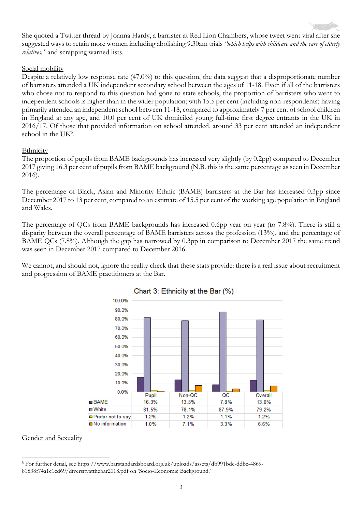

She quoted a Twitter thread by Joanna Hardy, a barrister at Red Lion Chambers, whose tweet went viral after she suggested ways to retain more women including abolishing 9.30am trials *"which helps with childcare and the care of elderly relatives,"* and scrapping warned lists.

#### Social mobility

Despite a relatively low response rate (47.0%) to this question, the data suggest that a disproportionate number of barristers attended a UK independent secondary school between the ages of 11-18. Even if all of the barristers who chose not to respond to this question had gone to state schools, the proportion of barristers who went to independent schools is higher than in the wider population; with 15.5 per cent (including non-respondents) having primarily attended an independent school between 11-18, compared to approximately 7 per cent of school children in England at any age, and 10.0 per cent of UK domiciled young full-time first degree entrants in the UK in 2016/17. Of those that provided information on school attended, around 33 per cent attended an independent school in the UK<sup>[5](#page-2-0)</sup>.

#### Ethnicity

The proportion of pupils from BAME backgrounds has increased very slightly (by 0.2pp) compared to December 2017 giving 16.3 per cent of pupils from BAME background (N.B. this is the same percentage as seen in December 2016).

The percentage of Black, Asian and Minority Ethnic (BAME) barristers at the Bar has increased 0.3pp since December 2017 to 13 per cent, compared to an estimate of 15.5 per cent of the working age population in England and Wales.

The percentage of QCs from BAME backgrounds has increased 0.6pp year on year (to 7.8%). There is still a disparity between the overall percentage of BAME barristers across the profession (13%), and the percentage of BAME QCs (7.8%). Although the gap has narrowed by 0.3pp in comparison to December 2017 the same trend was seen in December 2017 compared to December 2016.

We cannot, and should not, ignore the reality check that these stats provide: there is a real issue about recruitment and progression of BAME practitioners at the Bar.



## Chart 3: Ethnicity at the Bar (%)

#### Gender and Sexuality

<span id="page-2-0"></span><sup>5</sup> For further detail, see [https://www.barstandardsboard.org.uk/uploads/assets/db991bde-ddbc-4869-](https://www.barstandardsboard.org.uk/uploads/assets/db991bde-ddbc-4869-81838f74a1c1cd69/diversityatthebar2018.pdf) [81838f74a1c1cd69/diversityatthebar2018.pdf](https://www.barstandardsboard.org.uk/uploads/assets/db991bde-ddbc-4869-81838f74a1c1cd69/diversityatthebar2018.pdf) on 'Socio-Economic Background.'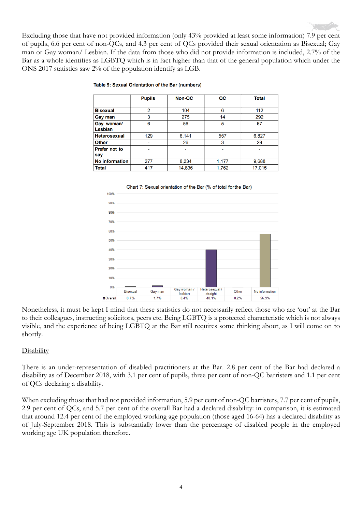

Excluding those that have not provided information (only 43% provided at least some information) 7.9 per cent of pupils, 6.6 per cent of non-QCs, and 4.3 per cent of QCs provided their sexual orientation as Bisexual; Gay man or Gay woman/ Lesbian. If the data from those who did not provide information is included, 2.7% of the Bar as a whole identifies as LGBTQ which is in fact higher than that of the general population which under the ONS 2017 statistics saw 2% of the population identify as LGB.

|                     | <b>Pupils</b>  | <b>Non-QC</b> | QC    | <b>Total</b>             |
|---------------------|----------------|---------------|-------|--------------------------|
|                     |                |               |       |                          |
| <b>Bisexual</b>     | $\overline{2}$ | 104           | 6     | 112                      |
| Gay man             | 3              | 275           | 14    | 292                      |
| Gay woman/          | 6              | 56            | 5     | 67                       |
| Lesbian             |                |               |       |                          |
| <b>Heterosexual</b> | 129            | 6,141         | 557   | 6,827                    |
| <b>Other</b>        |                | 26            | 3     | 29                       |
| Prefer not to       |                |               | ۰     | $\overline{\phantom{0}}$ |
| say                 |                |               |       |                          |
| No information      | 277            | 8,234         | 1,177 | 9,688                    |
| <b>Total</b>        | 417            | 14,836        | 1,762 | 17,015                   |

#### Table 9: Sexual Orientation of the Bar (numbers)





Nonetheless, it must be kept I mind that these statistics do not necessarily reflect those who are 'out' at the Bar to their colleagues, instructing solicitors, peers etc. Being LGBTQ is a protected characteristic which is not always visible, and the experience of being LGBTQ at the Bar still requires some thinking about, as I will come on to shortly.

#### **Disability**

There is an under-representation of disabled practitioners at the Bar. 2.8 per cent of the Bar had declared a disability as of December 2018, with 3.1 per cent of pupils, three per cent of non-QC barristers and 1.1 per cent of QCs declaring a disability.

When excluding those that had not provided information, 5.9 per cent of non-QC barristers, 7.7 per cent of pupils, 2.9 per cent of QCs, and 5.7 per cent of the overall Bar had a declared disability: in comparison, it is estimated that around 12.4 per cent of the employed working age population (those aged 16-64) has a declared disability as of July-September 2018. This is substantially lower than the percentage of disabled people in the employed working age UK population therefore.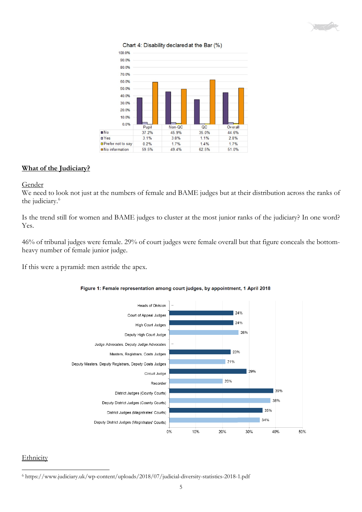



Chart 4: Disability declared at the Bar (%)

#### **What of the Judiciary?**

Gender

We need to look not just at the numbers of female and BAME judges but at their distribution across the ranks of the judiciary. [6](#page-4-0)

Is the trend still for women and BAME judges to cluster at the most junior ranks of the judiciary? In one word? Yes.

46% of tribunal judges were female. 29% of court judges were female overall but that figure conceals the bottomheavy number of female junior judge.

If this were a pyramid: men astride the apex.





## **Ethnicity**

<span id="page-4-0"></span><sup>6</sup> https://www.judiciary.uk/wp-content/uploads/2018/07/judicial-diversity-statistics-2018-1.pdf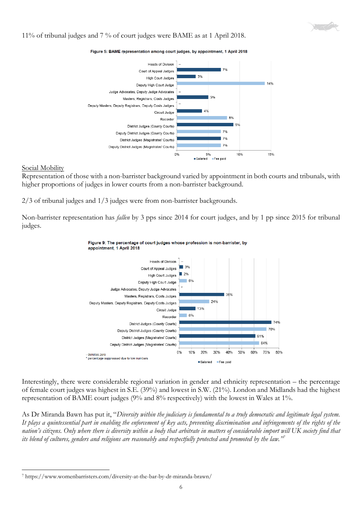

#### 11% of tribunal judges and 7 % of court judges were BAME as at 1 April 2018.

Figure 5: BAME representation among court judges, by appointment, 1 April 2018



#### Social Mobility

Representation of those with a non-barrister background varied by appointment in both courts and tribunals, with higher proportions of judges in lower courts from a non-barrister background.

2/3 of tribunal judges and 1/3 judges were from non-barrister backgrounds.

Non-barrister representation has *fallen* by 3 pps since 2014 for court judges, and by 1 pp since 2015 for tribunal judges.



#### Figure 9: The percentage of court judges whose profession is non-barrister, by appointment, 1 April 2018

Interestingly, there were considerable regional variation in gender and ethnicity representation – the percentage of female court judges was highest in S.E. (39%) and lowest in S.W. (21%). London and Midlands had the highest representation of BAME court judges (9% and 8% respectively) with the lowest in Wales at 1%.

As Dr Miranda Bawn has put it, "*Diversity within the judiciary is fundamental to a truly democratic and legitimate legal system. It plays a quintessential part in enabling the enforcement of key acts, preventing discrimination and infringements of the rights of the nation's citizens.* Only where there is diversity within a body that arbitrate in matters of considerable import will UK society find that *its blend of cultures, genders and religions are reasonably and respectfully protected and promoted by the law."[7](#page-5-0)*

<span id="page-5-0"></span><sup>7</sup> <https://www.womenbarristers.com/diversity-at-the-bar-by-dr-miranda-brawn/>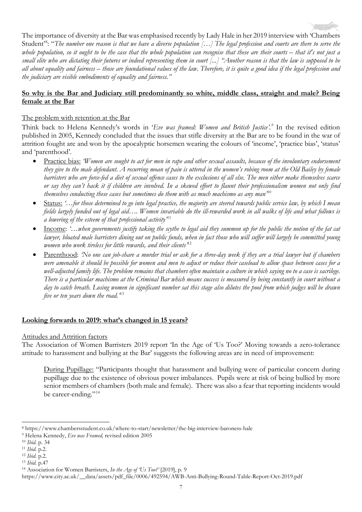The importance of diversity at the Bar was emphasised recently by Lady Hale in her 2019 interview with 'Chambers Student<sup>[8](#page-6-0)</sup>: "The number one reason is that we have a diverse population [...] The legal profession and courts are there to serve the *whole population, so it ought to be the case that the whole population can recognise that these are their courts – that it's not just a small elite who are dictating their futures or indeed representing them in court [...] "Another reason is that the law is supposed to be all about equality and fairness – those are foundational values of the law. Therefore, it is quite a good idea if the legal profession and the judiciary are visible embodiments of equality and fairness."* 

## **So why is the Bar and Judiciary still predominantly so white, middle class, straight and male? Being female at the Bar**

#### The problem with retention at the Bar

Think back to Helena Kennedy's words in '*Eve was framed: Women and British Justice'. [9](#page-6-1)* In the revised edition published in 2005, Kennedy concluded that the issues that stifle diversity at the Bar are to be found in the war of attrition fought are and won by the apocalyptic horsemen wearing the colours of 'income', 'practice bias', 'status' and 'parenthood'.

- Practice bias: *'Women are sought to act for men in rape and other sexual assaults, because of the involuntary endorsement they give to the male defendant. A recurring moan of pain is uttered in the women's robing room at the Old Bailey by female barristers who are force-fed a diet of sexual offence cases to the exclusions of all else. The men either make themselves scarce or say they can't hack it if children are involved. In a skewed effort to flaunt their professionalism women not only find themselves conducting these cases but sometimes do them with as much machismo as any man'*[10](#page-6-2)
- Status: *'…for those determined to go into legal practice, the majority are steered towards public service law, by which I mean fields largely funded out of legal aid…. Women invariable do the ill-rewarded work in all walks of life and what follows is a lowering of the esteem of that professional activity'*[11](#page-6-3)
- Income: *'…when governments justify taking the scythe to legal aid they summon up for the public the notion of the fat cat lawyer, bloated male barristers dining out on public funds, when in fact those who will suffer will largely be committed young women who work tireless for little rewards, and their clients'*[12](#page-6-4)
- Parenthood: *'No one can job-share a murder trial or ask for a three-day week if they are a trial lawyer but if chambers were amenable it should be possible for women and men to adjust or reduce their caseload to allow space between cases for a well-adjusted family life. The problem remains that chambers often maintain a culture in which saying no to a case is sacrilege. There is a particular machismo at the Criminal Bar which means success is measured by being constantly in court without a day to catch breath. Losing women in significant number sat this stage also dilutes the pool from which judges will be drawn five or ten years down the road.'*[13](#page-6-5)

#### **Looking forwards to 2019: what's changed in 15 years?**

#### Attitudes and Attrition factors

The Association of Women Barristers 2019 report 'In the Age of 'Us Too?' Moving towards a zero-tolerance attitude to harassment and bullying at the Bar' suggests the following areas are in need of improvement:

During Pupillage: "Participants thought that harassment and bullying were of particular concern during pupillage due to the existence of obvious power imbalances. Pupils were at risk of being bullied by more senior members of chambers (both male and female). There was also a fear that reporting incidents would be career-ending."<sup>[14](#page-6-6)</sup>

<span id="page-6-0"></span><sup>8</sup> https://www.chambersstudent.co.uk/where-to-start/newsletter/the-big-interview-baroness-hale

<span id="page-6-1"></span><sup>9</sup> Helena Kennedy, *Eve was Framed,* revised edition 2005

<span id="page-6-2"></span><sup>10</sup> *Ibid*. p. 34

<span id="page-6-3"></span><sup>11</sup> *Ibid.* p.2. 12 *Ibid*. p.2.

<span id="page-6-4"></span>

<span id="page-6-5"></span><sup>13</sup> *Ibid*. p.47

<span id="page-6-6"></span><sup>14</sup> Association for Women Barristers, *In the Age of 'Us Too?'* [2019], p. 9

https://www.city.ac.uk/\_\_data/assets/pdf\_file/0006/492594/AWB-Anti-Bullying-Round-Table-Report-Oct-2019.pdf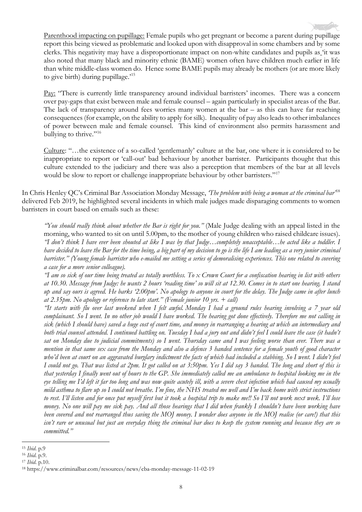Parenthood impacting on pupillage: Female pupils who get pregnant or become a parent during pupillage report this being viewed as problematic and looked upon with disapproval in some chambers and by some clerks. This negativity may have a disproportionate impact on non-white candidates and pupils as 'it was also noted that many black and minority ethnic (BAME) women often have children much earlier in life than white middle-class women do. Hence some BAME pupils may already be mothers (or are more likely to give birth) during pupillage.'[15](#page-7-0)

Pay: "There is currently little transparency around individual barristers' incomes. There was a concern over pay-gaps that exist between male and female counsel – again particularly in specialist areas of the Bar. The lack of transparency around fees worries many women at the bar – as this can have far reaching consequences (for example, on the ability to apply for silk). Inequality of pay also leads to other imbalances of power between male and female counsel. This kind of environment also permits harassment and bullying to thrive."<sup>[16](#page-7-1)</sup>

Culture: "…the existence of a so-called 'gentlemanly' culture at the bar, one where it is considered to be inappropriate to report or 'call-out' bad behaviour by another barrister. Participants thought that this culture extended to the judiciary and there was also a perception that members of the bar at all levels would be slow to report or challenge inappropriate behaviour by other barristers."<sup>[17](#page-7-2)</sup>

In Chris Henley QC's Criminal Bar Association Monday Message, *'The problem with being a woman at the criminal bar'*[18](#page-7-3) delivered Feb 2019, he highlighted several incidents in which male judges made disparaging comments to women barristers in court based on emails such as these:

*"You should really think about whether the Bar is right for you."* (Male Judge dealing with an appeal listed in the morning, who wanted to sit on until 5.00pm, to the mother of young children who raised childcare issues). *"I don't think I have ever been shouted at like I was by that Judge…completely unacceptable…he acted like a toddler. I have decided to leave the Bar for the time being, a big part of my decision to go is the life I am leading as a very junior criminal barrister." (Young female barrister who e-mailed me setting a series of demoralising experiences. This one related to covering a case for a more senior colleague).*

*"I am so sick of our time being treated as totally worthless. To x Crown Court for a confiscation hearing in list with others at 10.30. Message from Judge: he wants 2 hours 'reading time' so will sit at 12.30. Comes in to start one hearing. I stand up and say ours is agreed. He barks '2.00pm'. No apology to anyone in court for the delay. The Judge came in after lunch at 2.35pm. No apology or reference to late start." (Female junior 10 yrs. + call)*

*"It starts with flu over last weekend when I felt awful. Monday I had a ground rules hearing involving a 7 year old complainant. So I went. In no other job would I have worked. The hearing got done effectively. Therefore me not calling in sick (which I should have) saved a huge cost of court time, and money in rearranging a hearing at which an intermediary and both trial counsel attended. I continued battling on. Tuesday I had a jury out and didn't feel I could leave the case (it hadn't sat on Monday due to judicial commitments) so I went. Thursday came and I was feeling worse than ever. There was a mention in that same sex case from the Monday and also a defence 3 handed sentence for a female youth of good character who'd been at court on an aggravated burglary indictment the facts of which had included a stabbing. So I went. I didn't feel I could not go. That was listed at 2pm. It got called on at 3:50pm. Yes I did say 3 handed. The long and short of this is that yesterday I finally went out of hours to the GP. She immediately called me an ambulance to hospital looking me in the eye telling me I'd left it far too long and was now quite acutely ill, with a severe chest infection which had caused my usually mild asthma to flare up so I could not breathe. I'm fine, the NHS treated me well and I'm back home with strict instructions to rest. I'll listen and for once put myself first but it took a hospital trip to make me!! So I'll not work next week. I'll lose money.* No one will pay me sick pay. And all those hearings that I did when frankly I shouldn't have been working have *been covered and not rearranged thus saving the MOJ money. I wonder does anyone in the MOJ realise (or care!) that this isn't rare or unusual but just an everyday thing the criminal bar does to keep the system running and because they are so committed."*

<span id="page-7-0"></span><sup>15</sup> *Ibid*. p.9

<span id="page-7-1"></span><sup>16</sup> *Ibid*. p.9.

<span id="page-7-2"></span><sup>17</sup> *Ibid*. p.10.

<span id="page-7-3"></span><sup>18</sup> https://www.criminalbar.com/resources/news/cba-monday-message-11-02-19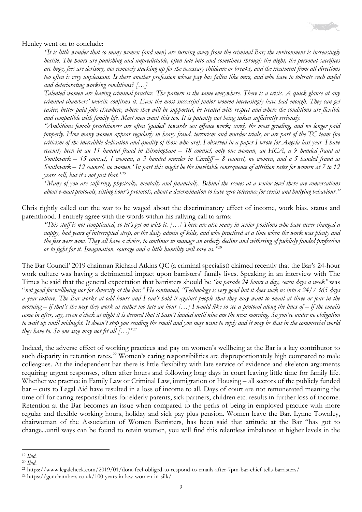

Henley went on to conclude:

*"It is little wonder that so many women (and men) are turning away from the criminal Bar; the environment is increasingly hostile. The hours are punishing and unpredictable, often late into and sometimes through the night, the personal sacrifices are huge, fees are derisory, not remotely stacking up for the necessary childcare or breaks, and the treatment from all directions too often is very unpleasant. Is there another profession whose pay has fallen like ours, and who have to tolerate such awful and deteriorating working conditions? […]*

*Talented women are leaving criminal practice. The pattern is the same everywhere. There is a crisis. A quick glance at any criminal chambers' website confirms it. Even the most successful junior women increasingly have had enough. They can get easier, better paid jobs elsewhere, where they will be supported, be treated with respect and where the conditions are flexible and compatible with family life. Most men want this too. It is patently not being taken sufficiently seriously.* 

*"Ambitious female practitioners are often 'guided' towards sex offence work; surely the most grueling, and no longer paid properly. How many women appear regularly in heavy fraud, terrorism and murder trials, or are part of the TC team (no criticism of the incredible dedication and quality of those who are). I observed in a paper I wrote for Angela last year 'I have recently been in an 11 handed fraud in Birmingham – 18 counsel, only one woman, an HCA, a 9 handed fraud at Southwark – 15 counsel, 1 woman, a 3 handed murder in Cardiff – 8 counsel, no women, and a 5 handed fraud at Southwark – 12 counsel, no women.' In part this might be the inevitable consequence of attrition rates for women at 7 to 12 years call, but it's not just that."[19](#page-8-0)*

*"Many of you are suffering, physically, mentally and financially. Behind the scenes at a senior level there are conversations about e-mail protocols, sitting hour's protocols, about a determination to have zero tolerance for sexist and bullying behaviour."*

Chris rightly called out the war to be waged about the discriminatory effect of income, work bias, status and parenthood. I entirely agree with the words within his rallying call to arms:

*"This stuff is not complicated, so let's get on with it. […] There are also many in senior positions who have never changed a nappy, had years of interrupted sleep, or the daily admin of kids, and who practised at a time when the work was plenty and the fees were wow. They all have a choice, to continue to manage an orderly decline and withering of publicly funded profession or to fight for it. Imagination, courage and a little humility will save us."[20](#page-8-1)*

The Bar Council' 2019 chairman Richard Atkins QC (a criminal specialist) claimed recently that the Bar's 24-hour work culture was having a detrimental impact upon barristers' family lives. Speaking in an interview with The Times he said that the general expectation that barristers should be *"on parade 24 hours a day, seven days a week"* was "*not good for wellbeing nor for diversity at the bar." He continued, "Technology is very good but it does suck us into a 24/7 365 days a year culture. The Bar works at odd hours and I can't hold it against people that they may want to email at three or four in the morning – if that's the way they work at rather too late an hour […] I would like to see a protocol along the lines of – if the emails come in after, say, seven o'clock at night it is deemed that it hasn't landed until nine am the next morning. So you're under no obligation to wait up until midnight. It doesn't stop you sending the email and you may want to reply and it may be that in the commercial world they have to.* So one size may not fit all  $[...]^{m21}$  $[...]^{m21}$  $[...]^{m21}$ 

Indeed, the adverse effect of working practices and pay on women's wellbeing at the Bar is a key contributor to such disparity in retention rates.<sup>22</sup> Women's caring responsibilities are disproportionately high compared to male colleagues. At the independent bar there is little flexibility with late service of evidence and skeleton arguments requiring urgent responses, often after hours and following long days in court leaving little time for family life. Whether we practice in Family Law or Criminal Law, immigration or Housing – all sectors of the publicly funded bar – cuts to Legal Aid have resulted in a loss of income to all. Days of court are not remunerated meaning the time off for caring responsibilities for elderly parents, sick partners, children etc. results in further loss of income. Retention at the Bar becomes an issue when compared to the perks of being in employed practice with more regular and flexible working hours, holiday and sick pay plus pension. Women leave the Bar. Lynne Townley, chairwoman of the Association of Women Barristers, has been said that attitude at the Bar "has got to change...until ways can be found to retain women, you will find this relentless imbalance at higher levels in the

<span id="page-8-0"></span><sup>19</sup> *Ibid*.

<span id="page-8-2"></span><span id="page-8-1"></span><sup>&</sup>lt;sup>21</sup> https://www.legalcheek.com/2019/01/dont-feel-obliged-to-respond-to-emails-after-7pm-bar-chief-tells-barristers/

<span id="page-8-3"></span><sup>22</sup> https://gcnchambers.co.uk/100-years-in-law-women-in-silk/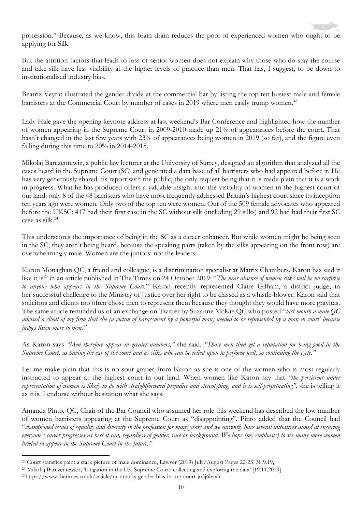profession." Because, as we know, this brain drain reduces the pool of experienced women who ought to be applying for Silk.

But the attrition factors that leads to loss of senior women does not explain why those who do stay the course and take silk have less visibility at the higher levels of practice than men. That has, I suggest, to be down to institutionalised industry bias.

Beatriz Veyrat illustrated the gender divide at the commercial bar by listing the top ten busiest male and female barristers at the Commercial Court by number of cases in 2019 where men easily trump women.<sup>[23](#page-9-0)</sup>

Lady Hale gave the opening keynote address at last weekend's Bar Conference and highlighted how the number of women appearing in the Supreme Court in 2009-2010 made up 21% of appearances before the court. That hasn't changed in the last few years with 23% of appearances being women in 2019 (so far), and the figure even falling during this time to 20% in 2014-2015.

Mikolaj Barczentewiz, a public law lecturer at the University of Surrey, designed an algorithm that analyzed all the cases heard in the Supreme Court (SC) and generated a data base of all barristers who had appeared before it. He has very generously shared his report with the public, the only request being that it is made plain that it is a work in progress. What he has produced offers a valuable insight into the visibility of women in the highest court of our land: only 8 of the 48 barristers who have most frequently addressed Britain's highest court since its inception ten years ago were women. Only two of the top ten were women. Out of the 509 female advocates who appeared before the UKSC: 417 had their first case in the SC without silk (including 29 silks) and 92 had had their first SC case as silk.<sup>[24](#page-9-1)</sup>

This underscores the importance of being in the SC as a career enhancer*.* But while women might be being seen in the SC, they aren't being heard, because the speaking parts (taken by the silks appearing on the front row) are overwhelmingly male. Women are the juniors: not the leaders.

Karon Monaghan QC, a friend and colleague, is a discrimination specialist at Matrix Chambers. Karon has said it like it is<sup>[25](#page-9-2)</sup> in an article published in The Times on 24 October 2019: "*The near absence of women silks will be no surprise to anyone who appears in the Supreme Court.*" Karon recently represented Claire Gilham, a district judge, in her successful challenge to the Ministry of Justice over her right to be classed as a whistle-blower. Karon said that solicitors and clients too often chose men to represent them because they thought they would have more gravitas. The same article reminded us of an exchange on Twitter by Suzanne McKie QC who posted "*last month a male QC advised a client of my firm that she (a victim of harassment by a powerful man) needed to be represented by a man in court' because judges listen more to men."*

As Karon says *"Men therefore appear in greater numbers,"* she said. *"Those men then get a reputation for being good in the Supreme Court, as having the ear of the court and as silks who can be relied upon to perform well, so continuing the cycle."*

Let me make plain that this is no sour grapes from Karon as she is one of the women who is most regularly instructed to appear at the highest court in our land. When women like Karon say that *"the persistent under representation of women is likely to do with straightforward prejudice and stereotyping, and it is self-perpetuating",* she is telling it as it is. I endorse without hesitation what she says.

Amanda Pinto, QC, Chair of the Bar Council who assumed her role this weekend has described the low number of women barristers appearing at the Supreme Court as "disappointing". Pinto added that the Council had "*championed issues of equality and diversity in the profession for many years and we currently have several initiatives aimed at ensuring everyone's career progresses as best it can, regardless of gender, race or background. We hope (my emphasis) to see many more women briefed to appear in the Supreme Court in the future."*

<span id="page-9-0"></span><sup>23</sup> [Court statistics paint a stark picture of male dominance,](http://www.lawtel.com/MyLawtel/Documents/AL0803680) Lawyer (2019) July/August Pages 22-23, 30.9.19**,**

<span id="page-9-1"></span><sup>&</sup>lt;sup>24</sup> Mikołaj Barczentewicz, 'Litigation in the UK Supreme Court: collecting and exploring the data' [19.11.2019]<br><sup>25</sup>https://www.thetimes.co.uk/article/qc-attacks-gender-bias-in-top-court-jn3j6bsxh

<span id="page-9-2"></span>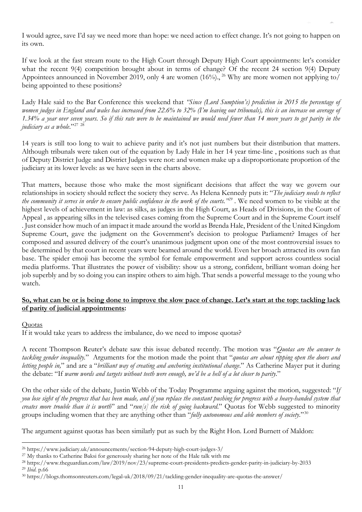I would agree, save I'd say we need more than hope: we need action to effect change. It's not going to happen on its own.

If we look at the fast stream route to the High Court through Deputy High Court appointments: let's consider what the recent 9(4) competition brought about in terms of change? Of the recent 24 section 9(4) Deputy Appointees announced in November 2019, only 4 are women  $(16\%)$ , <sup>[26](#page-10-0)</sup> Why are more women not applying to/ being appointed to these positions?

Lady Hale said to the Bar Conference this weekend that *"Since (Lord Sumption's) prediction in 2015 the percentage of women judges in England and wales has increased from 22.6% to 32% (I'm leaving out tribunals), this is an increase on average of 1.34% a year over seven years. So if this rate were to be maintained we would need fewer than 14 more years to get parity in the judiciary as a whole*."[27](#page-10-1) [28](#page-10-2)

14 years is still too long to wait to achieve parity and it's not just numbers but their distribution that matters. Although tribunals were taken out of the equation by Lady Hale in her 14 year time-line , positions such as that of Deputy District Judge and District Judges were not: and women make up a disproportionate proportion of the judiciary at its lower levels: as we have seen in the charts above.

That matters, because those who make the most significant decisions that affect the way we govern our relationships in society should reflect the society they serve. As Helena Kennedy puts it: "*The judiciary needs to reflect the community it serves in order to ensure public confidence in the work of the courts."[29](#page-10-3) .* We need women to be visible at the highest levels of achievement in law: as silks, as judges in the High Court, as Heads of Divisions, in the Court of Appeal , as appearing silks in the televised cases coming from the Supreme Court and in the Supreme Court itself . Just consider how much of an impact it made around the world as Brenda Hale, President of the United Kingdom Supreme Court, gave the judgment on the Government's decision to prologue Parliament? Images of her composed and assured delivery of the court's unanimous judgment upon one of the most controversial issues to be determined by that court in recent years were beamed around the world. Even her broach attracted its own fan base. The spider emoji has become the symbol for female empowerment and support across countless social media platforms. That illustrates the power of visibility: show us a strong, confident, brilliant woman doing her job superbly and by so doing you can inspire others to aim high. That sends a powerful message to the young who watch.

#### **So, what can be or is being done to improve the slow pace of change. Let's start at the top: tackling lack of parity of judicial appointments:**

#### **Quotas**

If it would take years to address the imbalance, do we need to impose quotas?

A recent Thompson Reuter's debate saw this issue debated recently. The motion was "*Quotas are the answer to tackling gender inequality.*" Arguments for the motion made the point that "*quotas are about ripping open the doors and letting people in,*" and are a "*brilliant way of creating and anchoring institutional change*." As Catherine Mayer put it during the debate: "If *warm words and targets without teeth were enough, we'd be a hell of a lot closer to parity*."

On the other side of the debate, Justin Webb of the Today Programme arguing against the motion, suggested: "*If you lose sight of the progress that has been made, and if you replace the constant pushing for progress with a heavy-handed system that creates more trouble than it is worth*" and "*run[s] the risk of going backward*." Quotas for Webb suggested to minority groups including women that they are anything other than "*fully autonomous and able members of society*."[30](#page-10-4)

The argument against quotas has been similarly put as such by the Right Hon. Lord Burnett of Maldon:

<span id="page-10-0"></span><sup>26</sup> https://www.judiciary.uk/announcements/section-94-deputy-high-court-judges-3/

<span id="page-10-1"></span><sup>&</sup>lt;sup>27</sup> My thanks to Catherine Baksi for generously sharing her note of the Hale talk with me

<span id="page-10-2"></span><sup>28</sup> <https://www.theguardian.com/law/2019/nov/23/supreme-court-presidents-predicts-gender-parity-in-judiciary-by-2033> <sup>29</sup> *Ibid*. p.66

<span id="page-10-4"></span><span id="page-10-3"></span><sup>30</sup> https://blogs.thomsonreuters.com/legal-uk/2018/09/21/tackling-gender-inequality-are-quotas-the-answer/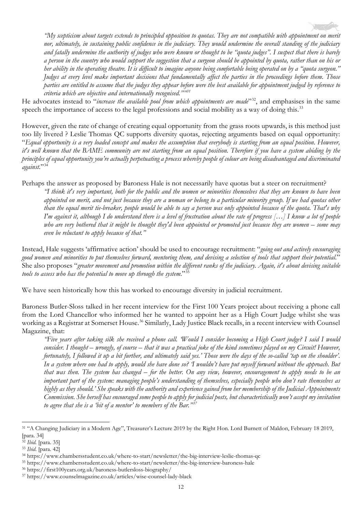*"My scepticism about targets extends to principled opposition to quotas. They are not compatible with appointment on merit nor, ultimately, in sustaining public confidence in the judiciary. They would undermine the overall standing of the judiciary and fatally undermine the authority of judges who were known or thought to be "quota judges". I suspect that there is barely a person in the country who would support the suggestion that a surgeon should be appointed by quota, rather than on his or her ability in the operating theatre. It is difficult to imagine anyone being comfortable being operated on by a "quota surgeon." Judges at every level make important decisions that fundamentally affect the parties in the proceedings before them. Those parties are entitled to assume that the judges they appear before were the best available for appointment judged by reference to criteria which are objective and internationally recognised.""[31](#page-11-0)*

He advocates instead to "*increase the available pool from which appointments are made*"<sup>32</sup>, and emphasises in the same speech the importance of access to the legal professions and social mobility as a way of doing this.<sup>[33](#page-11-2)</sup>

However, given the rate of change of creating equal opportunity from the grass roots upwards, is this method just too lily livered ? Leslie Thomas QC supports diversity quotas, rejecting arguments based on equal opportunity: "*Equal opportunity is a very loaded concept and makes the assumption that everybody is starting from an equal position. However, it's well known that the BAME community are not starting from an equal position. Therefore if you have a system abiding by the principles of equal opportunity you're actually perpetuating a process whereby people of colour are being disadvantaged and discriminated against*.["34](#page-11-3)

Perhaps the answer as proposed by Baroness Hale is not necessarily have quotas but a steer on recruitment? *"I think it's very important, both for the public and the women or minorities themselves that they are known to have been appointed on merit, and not just because they are a woman or belong to a particular minority group. If we had quotas other than the equal merit tie-breaker, people would be able to say a person was only appointed because of the quota. That's why I'm against it, although I do understand there is a level of frustration about the rate of progress […] I know a lot of people who are very bothered that it might be thought they'd been appointed or promoted just because they are women – some may even be reluctant to apply because of that."*

Instead, Hale suggests 'affirmative action' should be used to encourage recruitment: "*going out and actively encouraging good women and minorities to put themselves forward, mentoring them, and devising a selection of tools that support their potential*." She also proposes "*greater movement and promotion within the different ranks of the judiciary. Again, it's about devising suitable tools to assess who has the potential to move up through the system*."[35](#page-11-4)

We have seen historically how this has worked to encourage diversity in judicial recruitment.

Baroness Butler-Sloss talked in her recent interview for the First 100 Years project about receiving a phone call from the Lord Chancellor who informed her he wanted to appoint her as a High Court Judge whilst she was working as a Registrar at Somerset House.<sup>[36](#page-11-5)</sup> Similarly, Lady Justice Black recalls, in a recent interview with Counsel Magazine, that:

*"Five years after taking silk she received a phone call. 'Would I consider becoming a High Court judge? I said I would consider. I thought – wrongly, of course – that it was a practical joke of the kind sometimes played on my Circuit! However, fortunately, I followed it up a bit further, and ultimately said yes.' Those were the days of the so-called 'tap on the shoulder'. In a system where one had to apply, would she have done so? 'I wouldn't have put myself forward without the approach. But that was then. The system has changed – for the better. On any view, however, encouragement to apply needs to be an important part of the system: managing people's understanding of themselves, especially people who don't rate themselves as highly as they should.' She speaks with the authority and experience gained from her membership of the Judicial Appointments Commission. She herself has encouraged some people to apply for judicial posts, but characteristically won't accept my invitation to agree that she is a 'bit of a mentor' to members of the Bar."[37](#page-11-6)*

<span id="page-11-0"></span><sup>&</sup>lt;sup>31</sup> "A Changing Judiciary in a Modern Age", Treasurer's Lecture 2019 by the Right Hon. Lord Burnett of Maldon, February 18 2019, [para. 34]

<span id="page-11-3"></span><span id="page-11-2"></span>

<span id="page-11-1"></span><sup>32</sup> *Ibid.* [para. 35] 33 *Ibid*. [para. 42] 34 https://www.chambersstudent.co.uk/where-to-start/newsletter/the-big-interview-leslie-thomas-qc

<span id="page-11-4"></span><sup>35</sup> https://www.chambersstudent.co.uk/where-to-start/newsletter/the-big-interview-baroness-hale

<span id="page-11-5"></span><sup>36</sup> https://first100years.org.uk/baroness-butlersloss-biography/

<span id="page-11-6"></span><sup>37</sup> https://www.counselmagazine.co.uk/articles/wise-counsel-lady-black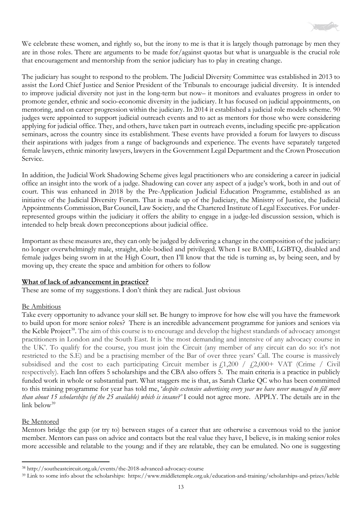

We celebrate these women, and rightly so, but the irony to me is that it is largely though patronage by men they are in those roles. There are arguments to be made for/against quotas but what is unarguable is the crucial role that encouragement and mentorship from the senior judiciary has to play in creating change.

The judiciary has sought to respond to the problem. The Judicial Diversity Committee was established in 2013 to assist the Lord Chief Justice and Senior President of the Tribunals to encourage judicial diversity. It is intended to improve judicial diversity not just in the long-term but now– it monitors and evaluates progress in order to promote gender, ethnic and socio-economic diversity in the judiciary. It has focused on judicial appointments, on mentoring, and on career progression within the judiciary. In 2014 it established a judicial role models scheme. 90 judges were appointed to support judicial outreach events and to act as mentors for those who were considering applying for judicial office. They, and others, have taken part in outreach events, including specific pre-application seminars, across the country since its establishment. These events have provided a forum for lawyers to discuss their aspirations with judges from a range of backgrounds and experience. The events have separately targeted female lawyers, ethnic minority lawyers, lawyers in the Government Legal Department and the Crown Prosecution Service.

In addition, the Judicial Work Shadowing Scheme gives legal practitioners who are considering a career in judicial office an insight into the work of a judge. Shadowing can cover any aspect of a judge's work, both in and out of court. This was enhanced in 2018 by the Pre-Application Judicial Education Programme, established as an initiative of the Judicial Diversity Forum. That is made up of the Judiciary, the Ministry of Justice, the Judicial Appointments Commission, Bar Council, Law Society, and the Chartered Institute of Legal Executives. For underrepresented groups within the judiciary it offers the ability to engage in a judge-led discussion session, which is intended to help break down preconceptions about judicial office.

Important as these measures are, they can only be judged by delivering a change in the composition of the judiciary: no longer overwhelmingly male, straight, able-bodied and privileged. When I see BAME, LGBTQ, disabled and female judges being sworn in at the High Court, then I'll know that the tide is turning as, by being seen, and by moving up, they create the space and ambition for others to follow

#### **What of lack of advancement in practice?**

These are some of my suggestions. I don't think they are radical. Just obvious

#### Be Ambitious

Take every opportunity to advance your skill set. Be hungry to improve for how else will you have the framework to build upon for more senior roles? There is an incredible advancement programme for juniors and seniors via the Keble Project<sup>[38](#page-12-0)</sup>. The aim of this course is to encourage and develop the highest standards of advocacy amongst practitioners in London and the South East. It is 'the most demanding and intensive of any advocacy course in the UK'. To qualify for the course, you must join the Circuit (any member of any circuit can do so: it's not restricted to the S.E) and be a practising member of the Bar of over three years' Call. The course is massively subsidised and the cost to each participating Circuit member is  $f1,200 / f2,000+$  VAT (Crime / Civil respectively). Each Inn offers 5 scholarships and the CBA also offers 5. The main criteria is a practice in publicly funded work in whole or substantial part. What staggers me is that, as Sarah Clarke QC who has been committed to this training programme for year has told me, '*despite extensive advertising every year we have never managed to fill more than about 15 scholarships (of the 25 available) which is insane?'* I could not agree more. APPLY. The details are in the link below<sup>[39](#page-12-1)</sup>

#### Be Mentored

Mentors bridge the gap (or try to) between stages of a career that are otherwise a cavernous void to the junior member. Mentors can pass on advice and contacts but the real value they have, I believe, is in making senior roles more accessible and relatable to the young: and if they are relatable, they can be emulated. No one is suggesting

<span id="page-12-0"></span><sup>38</sup> <http://southeastcircuit.org.uk/events/the-2018-advanced-advocacy-course>

<span id="page-12-1"></span><sup>39</sup> Link to some info about the scholarships:<https://www.middletemple.org.uk/education-and-training/scholarships-and-prizes/keble>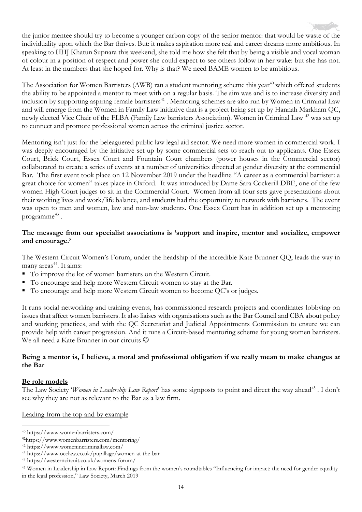the junior mentee should try to become a younger carbon copy of the senior mentor: that would be waste of the individuality upon which the Bar thrives. But: it makes aspiration more real and career dreams more ambitious. In speaking to HHJ Khatun Supnara this weekend, she told me how she felt that by being a visible and vocal woman of colour in a position of respect and power she could expect to see others follow in her wake: but she has not. At least in the numbers that she hoped for. Why is that? We need BAME women to be ambitious.

The Association for Women Barristers (AWB) ran a student mentoring scheme this year<sup>[40](#page-13-0)</sup> which offered students the ability to be appointed a mentor to meet with on a regular basis. The aim was and is to increase diversity and inclusion by supporting aspiring female barristers<sup>[41](#page-13-1)</sup>. Mentoring schemes are also run by Women in Criminal Law and will emerge from the Women in Family Law initiative that is a project being set up by Hannah Markham QC, newly elected Vice Chair of the FLBA (Family Law barristers Association). Women in Criminal Law [42](#page-13-2) was set up to connect and promote professional women across the criminal justice sector.

Mentoring isn't just for the beleaguered public law legal aid sector. We need more women in commercial work. I was deeply encouraged by the initiative set up by some commercial sets to reach out to applicants. One Essex Court, Brick Court, Essex Court and Fountain Court chambers (power houses in the Commercial sector) collaborated to create a series of events at a number of universities directed at gender diversity at the commercial Bar. The first event took place on 12 November 2019 under the headline "A career as a commercial barrister: a great choice for women" takes place in Oxford. It was introduced by Dame Sara Cockerill DBE, one of the few women High Court judges to sit in the Commercial Court. Women from all four sets gave presentations about their working lives and work/life balance, and students had the opportunity to network with barristers. The event was open to men and women, law and non-law students. One Essex Court has in addition set up a mentoring programme<sup>[43](#page-13-3)</sup>.

#### **The message from our specialist associations is 'support and inspire, mentor and socialize, empower and encourage.'**

The Western Circuit Women's Forum, under the headship of the incredible Kate Brunner QQ, leads the way in many areas $44$ . It aims:

- To improve the lot of women barristers on the Western Circuit.
- To encourage and help more Western Circuit women to stay at the Bar.
- To encourage and help more Western Circuit women to become QC's or judges.

It runs social networking and training events, has commissioned research projects and coordinates lobbying on issues that affect women barristers. It also liaises with organisations such as the Bar Council and CBA about policy and working practices, and with the QC Secretariat and Judicial Appointments Commission to ensure we can provide help with career progression. And it runs a Circuit-based mentoring scheme for young women barristers. We all need a Kate Brunner in our circuits  $\odot$ 

#### **Being a mentor is, I believe, a moral and professional obligation if we really mean to make changes at the Bar**

#### **Be role models**

The Law Society '*Women in Leadership Law Report*' has some signposts to point and direct the way ahead<sup>[45](#page-13-5)</sup>. I don't see why they are not as relevant to the Bar as a law firm.

Leading from the top and by example

<span id="page-13-0"></span><sup>40</sup> https://www.womenbarristers.com/

<span id="page-13-1"></span><sup>41</sup>https://www.womenbarristers.com/mentoring/

<span id="page-13-2"></span><sup>42</sup> https://www.womenincriminallaw.com/

<span id="page-13-3"></span><sup>43</sup> https://www.oeclaw.co.uk/pupillage/women-at-the-bar

<span id="page-13-4"></span><sup>44</sup> https://westerncircuit.co.uk/womens-forum/

<span id="page-13-5"></span><sup>45</sup> Women in Leadership in Law Report: Findings from the women's roundtables "Influencing for impact: the need for gender equality in the legal profession," Law Society, March 2019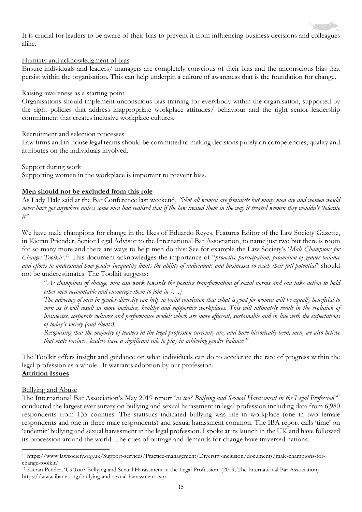

It is crucial for leaders to be aware of their bias to prevent it from influencing business decisions and colleagues alike.

#### Humility and acknowledgment of bias

Ensure individuals and leaders/ managers are completely conscious of their bias and the unconscious bias that persist within the organisation. This can help underpin a culture of awareness that is the foundation for change.

#### Raising awareness as a starting point

Organisations should implement unconscious bias training for everybody within the organisation, supported by the right policies that address inappropriate workplace attitudes/ behaviour and the right senior leadership commitment that creates inclusive workplace cultures.

#### Recruitment and selection processes

Law firms and in-house legal teams should be committed to making decisions purely on competencies, quality and attributes on the individuals involved.

#### Support during work

Supporting women in the workplace is important to prevent bias.

## **Men should not be excluded from this role**

As Lady Hale said at the Bar Conference last weekend, *"Not all women are feminists but many men are and women would never have got anywhere unless some men had realised that if the law treated them in the way it treated women they wouldn't 'tolerate it".*

We have male champions for change in the likes of Eduardo Reyes, Features Editor of the Law Society Gazette, in Kieran Priender, Senior Legal Advisor to the International Bar Association, to name just two but there is room for so many more and there are ways to help men do this: See for example the Law Society's '*Male Champions for Change: Toolkit'. [46](#page-14-0)* This document acknowledges the importance of "*proactive participation, promotion of gender balance and efforts to understand how gender inequality limits the ability of individuals and businesses to reach their full potential"* should not be underestimates. The Toolkit suggests:

"*As champions of change, men can work towards the positive transformation of social norms and can take action to hold other men accountable and encourage them to join in […]* 

*The advocacy of men in gender-diversity can help to build conviction that what is good for women will be equally beneficial to men as it will result in more inclusive, healthy and supportive workplaces. This will ultimately result in the evolution of businesses, corporate cultures and performance models which are more efficient, sustainable and in line with the expectations of today's society (and clients).*

*Recognising that the majority of leaders in the legal profession currently are, and have historically been, men, we also believe that male business leaders have a significant role to play in achieving gender balance."* 

The Toolkit offers insight and guidance on what individuals can do to accelerate the rate of progress within the legal profession as a whole. It warrants adoption by our profession. **Attrition Issues**

## Bullying and Abuse

The International Bar Association's May 2019 report '*us too? Bullying and Sexual Harassment in the Legal Profession*' [47](#page-14-1) conducted the largest ever survey on bullying and sexual harassment in legal profession including data from 6,980 respondents from 135 counties. The statistics indicated bullying was rife in workplace (one in two female respondents and one in three male respondents) and sexual harassment common. The IBA report calls 'time' on 'endemic' bullying and sexual harassment in the legal profession. I spoke at its launch in the UK and have followed its procession around the world. The cries of outrage and demands for change have traversed nations.

<span id="page-14-0"></span><sup>46</sup> https://www.lawsociety.org.uk/Support-services/Practice-management/Diversity-inclusion/documents/male-champions-forchange-toolkit/

<span id="page-14-1"></span><sup>47</sup> Kieran Pender, 'Us Too? Bullying and Sexual Harassment in the Legal Profession' (2019, The International Bar Association) <https://www.ibanet.org/bullying-and-sexual-harassment.aspx>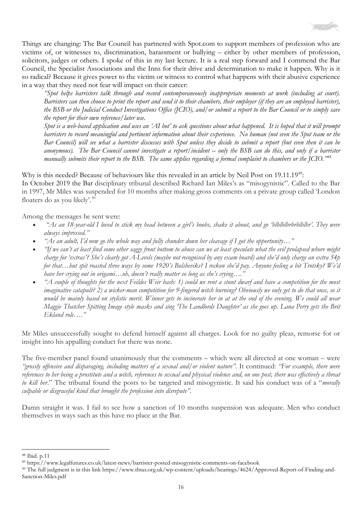

Things are changing: The Bar Council has partnered with Spot.com to support members of profession who are victims of, or witnesses to, discrimination, harassment or bullying – either by other members of profession, solicitors, judges or others. I spoke of this in my last lecture. It is a real step forward and I commend the Bar Council, the Specialist Associations and the Inns for their drive and determination to make it happen. Why is it so radical? Because it gives power to the victim or witness to control what happens with their abusive experience in a way that they need not fear will impact on their career:

*"Spot helps barristers talk through and record contemporaneously inappropriate moments at work (including at court). Barristers can then choose to print the report and send it to their chambers, their employer (if they are an employed barrister), the BSB or the Judicial Conduct Investigations Office (JCIO), and/or submit a report to the Bar Council or to simply save the report for their own reference/later use.*

*Spot is a web-based application and uses an 'AI bot' to ask questions about what happened. It is hoped that it will prompt barristers to record meaningful and pertinent information about their experience. No human (not even the Spot team or the Bar Council) will see what a barrister discusses with Spot unless they decide to submit a report (but even then it can be anonymous). The Bar Council cannot investigate a report/incident – only the BSB can do this, and only if a barrister manually submits their report to the BSB. The same applies regarding a formal complaint to chambers or the JCIO.["48](#page-15-0)*

Why is this needed? Because of behaviours like this revealed in an article by Neil Post on 19.11.19<sup>[49](#page-15-1)</sup>: In October 2019 the Bar disciplinary tribunal described Richard Ian Miles's as "misogynistic". Called to the Bar in 1997, Mr Miles was suspended for 10 months after making gross comments on a private group called 'London floaters do as you likely'.<sup>50</sup>

Among the messages he sent were:

- *"As an 18-year-old I loved to stick my head between a girl's boobs, shake it about, and go 'blblblbrbrblblbr'. They were always impressed."*
- *"As an adult, I'd now go the whole way and fully chunder down her cleavage if I got the opportunity…"*
- *"If we can't at least find some other saggy front bottom to abuse can we at least speculate what the evil prolapsed whore might charge for 'extras'? She's clearly got A-Levels (maybe not recognised by any exam board) and she'd only charge an extra 54p for that…but spit roasted three ways by some 1920's Bolsheviks? I reckon she'd pay. Anyone feeling a bit Trotsky? We'd have her crying out in origami…oh, doesn't really matter so long as she's crying…."*
- *"A couple of thoughts for the next Feildes Weir bash: 1) could we rent a stunt dwarf and have a competition for the most imaginative catapult? 2) a wicker-man competition for 9-fingered witch burning? Obviously we only get to do that once, so it would be mainly based on stylistic merit. Winner gets to incinerate her in at at the end of the evening. We could all wear Maggie Thatcher Spitting Image style masks and sing 'The Landlords Daughter' as she goes up. Lana Perry gets the Brit Ekland role…."*

Mr Miles unsuccessfully sought to defend himself against all charges. Look for no guilty pleas, remorse for or insight into his appalling conduct for there was none.

The five-member panel found unanimously that the comments – which were all directed at one woman – were *"grossly offensive and disparaging, including matters of a sexual and/or violent nature"*. It continued: *"For example, there were references to her being a prostitute and a witch, references to sexual and physical violence and, on one post, there was effectively a threat to kill her*." The tribunal found the posts to be targeted and misogynistic. It said his conduct was of a "*morally culpable or disgraceful kind that brought the profession into disrepute".*

Damn straight it was. I fail to see how a sanction of 10 months suspension was adequate. Men who conduct themselves in ways such as this have no place at the Bar.

<span id="page-15-0"></span><sup>48</sup> Ibid. p.11

<span id="page-15-1"></span><sup>49</sup> <https://www.legalfutures.co.uk/latest-news/barrister-posted-misogynistic-comments-on-facebook>

<span id="page-15-2"></span><sup>50</sup> The full judgment is in this link [https://www.tbtas.org.uk/wp-content/uploads/hearings/4624/Approved-Report-of-Finding-and-](https://www.tbtas.org.uk/wp-content/uploads/hearings/4624/Approved-Report-of-Finding-and-Sanction-Miles.pdf)[Sanction-Miles.pdf](https://www.tbtas.org.uk/wp-content/uploads/hearings/4624/Approved-Report-of-Finding-and-Sanction-Miles.pdf)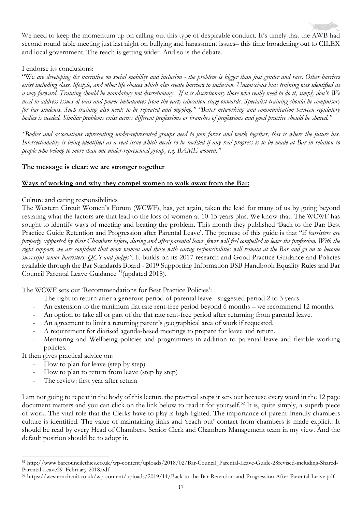

We need to keep the momentum up on calling out this type of despicable conduct. It's timely that the AWB had second round table meeting just last night on bullying and harassment issues– this time broadening out to CILEX and local government. The reach is getting wider. And so is the debate.

#### I endorse its conclusions:

"We *are developing the narrative on social mobility and inclusion - the problem is bigger than just gender and race. Other barriers exist including class, lifestyle, and other life choices which also create barriers to inclusion. Unconscious bias training was identified as a way forward. Training should be mandatory not discretionary. If it is discretionary those who really need to do it, simply don't. We need to address issues of bias and power imbalances from the early education stage onwards. Specialist training should be compulsory for bar students. Such training also needs to be repeated and ongoing." "Better networking and communication between regulatory bodies is needed. Similar problems exist across different professions or branches of professions and good practice should be shared."*

*"Bodies and associations representing under-represented groups need to join forces and work together, this is where the future lies. Intersectionality is being identified as a real issue which needs to be tackled if any real progress is to be made at Bar in relation to people who belong to more than one under-represented group, e.g. BAME women."*

#### **The message is clear: we are stronger together**

#### **Ways of working and why they compel women to walk away from the Bar:**

#### Culture and caring responsibilities

The Western Circuit Women's Forum (WCWF), has, yet again, taken the lead for many of us by going beyond restating what the factors are that lead to the loss of women at 10-15 years plus. We know that. The WCWF has sought to identify ways of meeting and beating the problem. This month they published 'Back to the Bar: Best Practice Guide Retention and Progression after Parental Leave'. The premise of this guide is that "if *barristers are properly supported by their Chambers before, during and after parental leave, fewer will feel compelled to leave the profession. With the right support, we are confident that more women and those with caring responsibilities will remain at the Bar and go on to become successful senior barristers, QC's and judges"*. It builds on its 2017 research and Good Practice Guidance and Policies available through the Bar Standards Board - 2019 Supporting Information BSB Handbook Equality Rules and Bar Council Parental Leave Guidance [51](#page-16-0)(updated 2018).

The WCWF sets out 'Recommendations for Best Practice Policies':

- The right to return after a generous period of parental leave –suggested period 2 to 3 years.
- An extension to the minimum flat rate rent-free period beyond 6 months we recommend 12 months.
- An option to take all or part of the flat rate rent-free period after returning from parental leave.
- An agreement to limit a returning parent's geographical area of work if requested.
- A requirement for diarised agenda-based meetings to prepare for leave and return.
- Mentoring and Wellbeing policies and programmes in addition to parental leave and flexible working policies.

It then gives practical advice on:

- How to plan for leave (step by step)
- How to plan to return from leave (step by step)
- The review: first year after return

I am not going to repeat in the body of this lecture the practical steps it sets out because every word in the 12 page document matters and you can click on the link below to read it for yourself.<sup>[52](#page-16-1)</sup> It is, quite simply, a superb piece of work. The vital role that the Clerks have to play is high-lighted. The importance of parent friendly chambers culture is identified. The value of maintaining links and 'reach out' contact from chambers is made explicit. It should be read by every Head of Chambers, Senior Clerk and Chambers Management team in my view. And the default position should be to adopt it.

<span id="page-16-0"></span><sup>51</sup> [http://www.barcouncilethics.co.uk/wp-content/uploads/2018/02/Bar-Council\\_Parental-Leave-Guide-28revised-including-Shared-](http://www.barcouncilethics.co.uk/wp-content/uploads/2018/02/Bar-Council_Parental-Leave-Guide-28revised-including-Shared-Parental-Leave29_February-2018.pdf)[Parental-Leave29\\_February-2018.pdf](http://www.barcouncilethics.co.uk/wp-content/uploads/2018/02/Bar-Council_Parental-Leave-Guide-28revised-including-Shared-Parental-Leave29_February-2018.pdf)

<span id="page-16-1"></span><sup>52</sup> <https://westerncircuit.co.uk/wp-content/uploads/2019/11/Back-to-the-Bar-Retention-and-Progression-After-Parental-Leave.pdf>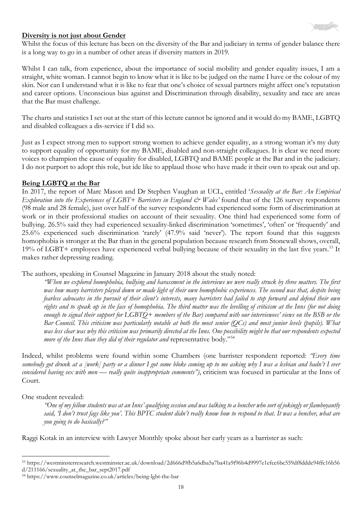

#### **Diversity is not just about Gender**

Whilst the focus of this lecture has been on the diversity of the Bar and judiciary in terms of gender balance there is a long way to go in a number of other areas if diversity matters in 2019.

Whilst I can talk, from experience, about the importance of social mobility and gender equality issues, I am a straight, white woman. I cannot begin to know what it is like to be judged on the name I have or the colour of my skin. Nor can I understand what it is like to fear that one's choice of sexual partners might affect one's reputation and career options. Unconscious bias against and Discrimination through disability, sexuality and race are areas that the Bar must challenge.

The charts and statistics I set out at the start of this lecture cannot be ignored and it would do my BAME, LGBTQ and disabled colleagues a dis-service if I did so.

Just as I expect strong men to support strong women to achieve gender equality, as a strong woman it's my duty to support equality of opportunity for my BAME, disabled and non-straight colleagues. It is clear we need more voices to champion the cause of equality for disabled, LGBTQ and BAME people at the Bar and in the judiciary. I do not purport to adopt this role, but ide like to applaud those who have made it their own to speak out and up.

#### **Being LGBTQ at the Bar**

In 2017, the report of Marc Mason and Dr Stephen Vaughan at UCL, entitled '*Sexuality at the Bar: An Empirical Exploration into the Experiences of LGBT+ Barristers in England*  $\mathcal{C}^*$  *Wales'* found that of the 126 survey respondents (98 male and 28 female), just over half of the survey respondents had experienced some form of discrimination at work or in their professional studies on account of their sexuality. One third had experienced some form of bullying. 26.5% said they had experienced sexuality-linked discrimination 'sometimes', 'often' or 'frequently' and 25.6% experienced such discrimination 'rarely' (47.9% said 'never'). The report found that this suggests homophobia is stronger at the Bar than in the general population because research from Stonewall shows, overall, 19% of LGBT+ employees have experienced verbal bullying because of their sexuality in the last five years.<sup>[53](#page-17-0)</sup> It makes rather depressing reading.

The authors, speaking in Counsel Magazine in January 2018 about the study noted:

*"When we explored homophobia, bullying and harassment in the interviews we were really struck by three matters. The first was how many barristers played down or made light of their own homophobic experiences. The second was that, despite being fearless advocates in the pursuit of their client's interests, many barristers had failed to step forward and defend their own rights and to speak up in the face of homophobia. The third matter was the levelling of criticism at the Inns (for not doing enough to signal their support for LGBTQ+ members of the Bar) compared with our interviewees' views on the BSB or the Bar Council. This criticism was particularly notable at both the most senior (QCs) and most junior levels (pupils). What was less clear was why this criticism was primarily directed at the Inns. One possibility might be that our respondents expected more of the Inns than they did of their regulator and representative body.*"<sup>[54](#page-17-1)</sup>

Indeed, whilst problems were found within some Chambers (one barrister respondent reported: *"Every time somebody got drunk at a [work] party or a dinner I got some bloke coming up to me asking why I was a lesbian and hadn't I ever considered having sex with men — really quite inappropriate comments")*, criticism was focused in particular at the Inns of Court.

One student revealed:

*"One of my fellow students was at an Inns' qualifying session and was talking to a bencher who sort of jokingly or flamboyantly said, 'I don't trust fags like you'. This BPTC student didn't really know how to respond to that. It was a bencher, what are you going to do basically?"* 

Raggi Kotak in an interview with Lawyer Monthly spoke about her early years as a barrister as such:

<span id="page-17-0"></span><sup>53</sup> https://westminsterresearch.westminster.ac.uk/download/2d666d9fb5a6dba5a7ba41a9f96b4d9997e1efcc6bc559df8ddde94ffc16b56 d/211166/sexuality\_at\_the\_bar\_sept2017.pdf

<span id="page-17-1"></span><sup>54</sup> https://www.counselmagazine.co.uk/articles/being-lgbt-the-bar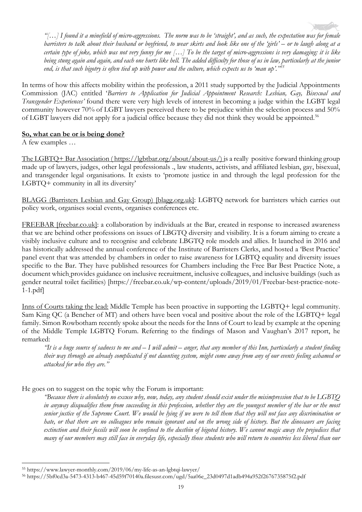*"[…] I found it a minefield of micro-aggressions. The norm was to be 'straight', and as such, the expectation was for female barristers to talk about their husband or boyfriend, to wear skirts and look like one of the 'girls' – or to laugh along at a certain type of joke, which was not very funny for me […] To be the target of micro-aggressions is very damaging: it is like being stung again and again, and each one hurts like hell. The added difficulty for those of us in law, particularly at the junior end, is that such bigotry is often tied up with power and the culture, which expects us to 'man up'."[55](#page-18-0)*

In terms of how this affects mobility within the profession, a 2011 study supported by the Judicial Appointments Commission (JAC) entitled '*Barriers to Application for Judicial Appointment Research: Lesbian, Gay, Bisexual and Transgender Experiences'* found there were very high levels of interest in becoming a judge within the LGBT legal community however 70% of LGBT lawyers perceived there to be prejudice within the selection process and 50% of LGBT lawyers did not apply for a judicial office because they did not think they would be appointed.[56](#page-18-1)

#### **So, what can be or is being done?**

A few examples …

The LGBTQ+ Bar Association ( [https://lgbtbar.org/about/about-us/\)](https://lgbtbar.org/about/about-us/) is a really positive forward thinking group made up of lawyers, judges, other legal professionals ., law students, activists, and affiliated lesbian, gay, bisexual, and transgender legal organisations. It exists to 'promote justice in and through the legal profession for the LGBTQ+ community in all its diversity'

BLAGG (Barristers Lesbian and Gay Group) [blagg.org.uk]: LGBTQ network for barristers which carries out policy work, organises social events, organises conferences etc.

FREEBAR [freebar.co.uk]: a collaboration by individuals at the Bar, created in response to increased awareness that we are behind other professions on issues of LBGTQ diversity and visibility. It is a forum aiming to create a visibly inclusive culture and to recognise and celebrate LBGTQ role models and allies. It launched in 2016 and has historically addressed the annual conference of the Institute of Barristers Clerks, and hosted a 'Best Practice' panel event that was attended by chambers in order to raise awareness for LGBTQ equality and diversity issues specific to the Bar. They have published resources for Chambers including the Free Bar Best Practice Note, a document which provides guidance on inclusive recruitment, inclusive colleagues, and inclusive buildings (such as gender neutral toilet facilities) [https://freebar.co.uk/wp-content/uploads/2019/01/Freebar-best-practice-note-1-1.pdf]

Inns of Courts taking the lead: Middle Temple has been proactive in supporting the LGBTQ+ legal community. Sam King QC (a Bencher of MT) and others have been vocal and positive about the role of the LGBTQ+ legal family. Simon Rowbotham recently spoke about the needs for the Inns of Court to lead by example at the opening of the Middle Temple LGBTQ Forum. Referring to the findings of Mason and Vaughan's 2017 report, he remarked:

*"It is a huge source of sadness to me and – I will admit – anger, that any member of this Inn, particularly a student finding their way through an already complicated if not daunting system, might come away from any of our events feeling ashamed or attacked for who they are."* 

He goes on to suggest on the topic why the Forum is important:

*"Because there is absolutely no excuse why, now, today, any student should exist under the misimpression that to be LGBTQ in anyway disqualifies them from succeeding in this profession, whether they are the youngest member of the bar or the most senior justice of the Supreme Court. We would be lying if we were to tell them that they will not face any discrimination or hate, or that there are no colleagues who remain ignorant and on the wrong side of history. But the dinosaurs are facing extinction and their fossils will soon be confined to the dustbin of bigoted history. We cannot magic away the prejudices that many of our members may still face in everyday life, especially those students who will return to countries less liberal than our* 

<span id="page-18-0"></span><sup>55</sup> https://www.lawyer-monthly.com/2019/06/my-life-as-an-lgbtqi-lawyer/

<span id="page-18-1"></span><sup>56</sup> https://5bf0cd3a-5473-4313-b467-45d59f70140a.filesusr.com/ugd/5aa06e\_23d0497d1adb494a952f2676735875f2.pdf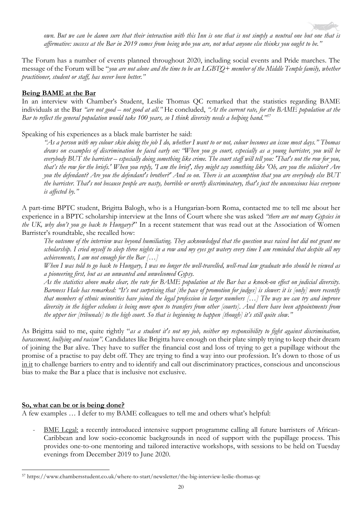*own. But we can be damn sure that their interaction with this Inn is one that is not simply a neutral one but one that is affirmative: success at the Bar in 2019 comes from being who you are, not what anyone else thinks you ought to be."* 

The Forum has a number of events planned throughout 2020, including social events and Pride marches. The message of the Forum will be "*you are not alone and the time to be an LGBTQ+ member of the Middle Temple family, whether practitioner, student or staff, has never been better."* 

#### **Being BAME at the Bar**

In an interview with Chamber's Student, Leslie Thomas QC remarked that the statistics regarding BAME individuals at the Bar *"are not good – not good at all."* He concluded, *"At the current rate, for the BAME population at the Bar to reflect the general population would take 100 years, so I think diversity needs a helping hand."[57](#page-19-0)*

Speaking of his experiences as a black male barrister he said:

*"As a person with my colour skin doing the job I do, whether I want to or not, colour becomes an issue most days." Thomas draws on examples of discrimination he faced early on: "When you go court, especially as a young barrister, you will be everybody BUT the barrister – especially doing something like crime. The court staff will tell you: 'That's not the row for you, that's the row for the briefs.' When you reply, 'I am the brief', they might say something like 'Oh, are you the solicitor? Are you the defendant? Are you the defendant's brother?' And so on. There is an assumption that you are everybody else BUT the barrister. That's not because people are nasty, horrible or overtly discriminatory, that's just the unconscious bias everyone is affected by."*

A part-time BPTC student, Brigitta Balogh, who is a Hungarian-born Roma, contacted me to tell me about her experience in a BPTC scholarship interview at the Inns of Court where she was asked *"there are not many Gypsies in the UK, why don't you go back to Hungary?*" In a recent statement that was read out at the Association of Women Barrister's roundtable, she recalled how:

*The outcome of the interview was beyond humiliating. They acknowledged that the question was raised but did not grant me scholarship. I cried myself to sleep three nights in a row and my eyes get watery every time I am reminded that despite all my achievements, I am not enough for the Bar […]* 

*When I was told to go back to Hungary, I was no longer the well-travelled, well-read law graduate who should be viewed as a pioneering first, but as an unwanted and unwelcomed Gypsy.* 

*As the statistics above make clear, the rate for BAME population at the Bar has a knock-on effect on judicial diversity. Baroness Hale has remarked: "It's not surprising that [the pace of promotion for judges] is slower: it is [only] more recently that members of ethnic minorities have joined the legal profession in larger numbers […] The way we can try and improve diversity in the higher echelons is being more open to transfers from other [courts]. And there have been appointments from the upper tier [tribunals] to the high court. So that is beginning to happen [though] it's still quite slow."* 

As Brigitta said to me, quite rightly "*as a student it's not my job, neither my responsibility to fight against discrimination, harassment, bullying and racism"*. Candidates like Brigitta have enough on their plate simply trying to keep their dream of joining the Bar alive. They have to suffer the financial cost and loss of trying to get a pupillage without the promise of a practise to pay debt off. They are trying to find a way into our profession. It's down to those of us in it to challenge barriers to entry and to identify and call out discriminatory practices, conscious and unconscious bias to make the Bar a place that is inclusive not exclusive.

#### **So, what can be or is being done?**

A few examples … I defer to my BAME colleagues to tell me and others what's helpful:

BME Legal: a recently introduced intensive support programme calling all future barristers of African-Caribbean and low socio-economic backgrounds in need of support with the pupillage process. This provides one-to-one mentoring and tailored interactive workshops, with sessions to be held on Tuesday evenings from December 2019 to June 2020.

<span id="page-19-0"></span><sup>57</sup> https://www.chambersstudent.co.uk/where-to-start/newsletter/the-big-interview-leslie-thomas-qc